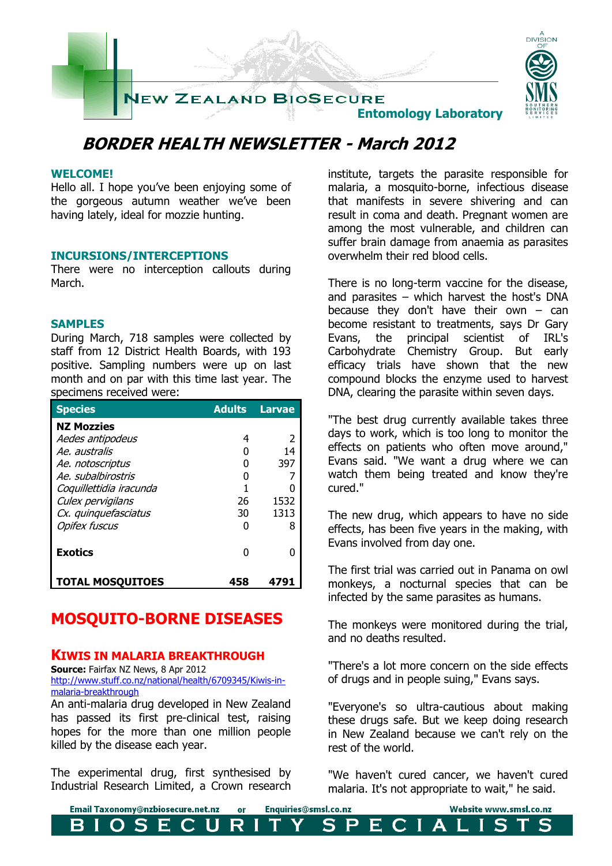

# **BORDER HEALTH NEWSLETTER - March 2012**

### **WELCOME!**

Hello all. I hope you've been enjoying some of the gorgeous autumn weather we've been having lately, ideal for mozzie hunting.

### **INCURSIONS/INTERCEPTIONS**

There were no interception callouts during March.

### **SAMPLES**

During March, 718 samples were collected by staff from 12 District Health Boards, with 193 positive. Sampling numbers were up on last month and on par with this time last year. The specimens received were:

| <b>Species</b>          | <b>Adults</b> | <b>Larvae</b> |
|-------------------------|---------------|---------------|
| <b>NZ Mozzies</b>       |               |               |
| Aedes antipodeus        | 4             | 2             |
| Ae, australis           | 0             | 14            |
| Ae. notoscriptus        | O             | 397           |
| Ae, subalbirostris      | 0             |               |
| Coquillettidia iracunda |               |               |
| Culex pervigilans       | 26            | 1532          |
| Cx. quinquefasciatus    | 30            | 1313          |
| <b>Opifex fuscus</b>    | 0             | 8             |
| <b>Exotics</b>          | U             |               |
| <b>TOTAL MOSQUITOES</b> |               |               |

# **MOSQUITO-BORNE DISEASES**

### **KIWIS IN MALARIA BREAKTHROUGH**

**Source: Fairfax NZ News, 8 Apr 2012** [http://www.stuff.co.nz/national/health/6709345/Kiwis-in](http://www.stuff.co.nz/national/health/6709345/Kiwis-in-malaria-breakthrough)[malaria-breakthrough](http://www.stuff.co.nz/national/health/6709345/Kiwis-in-malaria-breakthrough)

An anti-malaria drug developed in New Zealand has passed its first pre-clinical test, raising hopes for the more than one million people killed by the disease each year.

The experimental drug, first synthesised by Industrial Research Limited, a Crown research institute, targets the parasite responsible for malaria, a mosquito-borne, infectious disease that manifests in severe shivering and can result in coma and death. Pregnant women are among the most vulnerable, and children can suffer brain damage from anaemia as parasites overwhelm their red blood cells.

There is no long-term vaccine for the disease, and parasites – which harvest the host's DNA because they don't have their own  $-$  can become resistant to treatments, says Dr Gary Evans, the principal scientist of IRL's Carbohydrate Chemistry Group. But early efficacy trials have shown that the new compound blocks the enzyme used to harvest DNA, clearing the parasite within seven days.

"The best drug currently available takes three days to work, which is too long to monitor the effects on patients who often move around," Evans said. "We want a drug where we can watch them being treated and know they're cured."

The new drug, which appears to have no side effects, has been five years in the making, with Evans involved from day one.

The first trial was carried out in Panama on owl monkeys, a nocturnal species that can be infected by the same parasites as humans.

The monkeys were monitored during the trial, and no deaths resulted.

"There's a lot more concern on the side effects of drugs and in people suing," Evans says.

"Everyone's so ultra-cautious about making these drugs safe. But we keep doing research in New Zealand because we can't rely on the rest of the world.

"We haven't cured cancer, we haven't cured malaria. It's not appropriate to wait," he said.

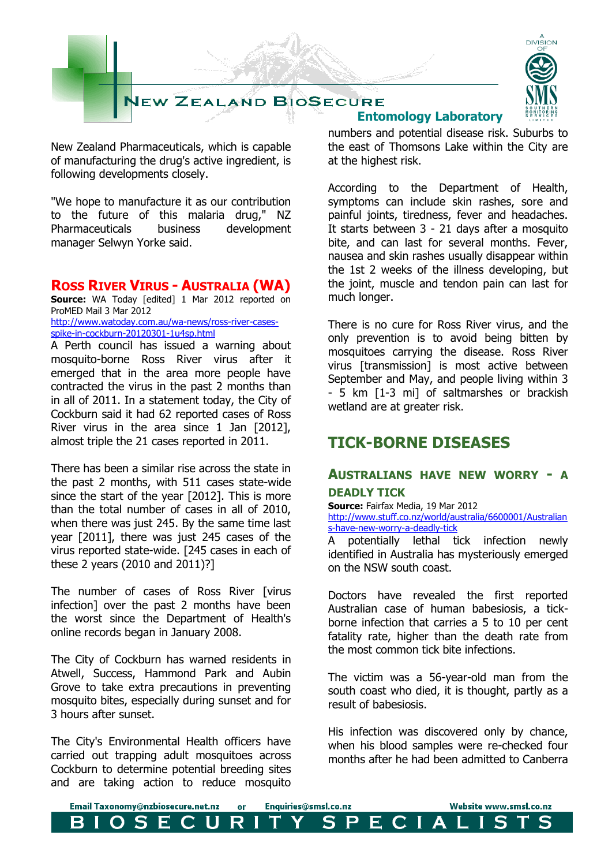

New Zealand Pharmaceuticals, which is capable of manufacturing the drug's active ingredient, is following developments closely.

"We hope to manufacture it as our contribution to the future of this malaria drug," NZ Pharmaceuticals business development manager Selwyn Yorke said.

## **ROSS RIVER VIRUS - AUSTRALIA (WA)**

**Source:** WA Today [edited] 1 Mar 2012 reported on ProMED Mail 3 Mar 2012 [http://www.watoday.com.au/wa-news/ross-river-cases](http://www.watoday.com.au/wa-news/ross-river-cases-spike-in-cockburn-20120301-1u4sp.html)[spike-in-cockburn-20120301-1u4sp.html](http://www.watoday.com.au/wa-news/ross-river-cases-spike-in-cockburn-20120301-1u4sp.html)

A Perth council has issued a warning about mosquito-borne Ross River virus after it emerged that in the area more people have contracted the virus in the past 2 months than in all of 2011. In a statement today, the City of Cockburn said it had 62 reported cases of Ross River virus in the area since 1 Jan [2012], almost triple the 21 cases reported in 2011.

There has been a similar rise across the state in the past 2 months, with 511 cases state-wide since the start of the year [2012]. This is more than the total number of cases in all of 2010, when there was just 245. By the same time last year [2011], there was just 245 cases of the virus reported state-wide. [245 cases in each of these 2 years (2010 and 2011)?]

The number of cases of Ross River [virus infection] over the past 2 months have been the worst since the Department of Health's online records began in January 2008.

The City of Cockburn has warned residents in Atwell, Success, Hammond Park and Aubin Grove to take extra precautions in preventing mosquito bites, especially during sunset and for 3 hours after sunset.

The City's Environmental Health officers have carried out trapping adult mosquitoes across Cockburn to determine potential breeding sites and are taking action to reduce mosquito

 **Entomology Laboratory** numbers and potential disease risk. Suburbs to the east of Thomsons Lake within the City are at the highest risk.

According to the Department of Health, symptoms can include skin rashes, sore and painful joints, tiredness, fever and headaches. It starts between 3 - 21 days after a mosquito bite, and can last for several months. Fever, nausea and skin rashes usually disappear within the 1st 2 weeks of the illness developing, but the joint, muscle and tendon pain can last for much longer.

There is no cure for Ross River virus, and the only prevention is to avoid being bitten by mosquitoes carrying the disease. Ross River virus [transmission] is most active between September and May, and people living within 3 - 5 km [1-3 mi] of saltmarshes or brackish wetland are at greater risk.

# **TICK-BORNE DISEASES**

## **AUSTRALIANS HAVE NEW WORRY - A DEADLY TICK**

#### **Source:** Fairfax Media, 19 Mar 2012

[http://www.stuff.co.nz/world/australia/6600001/Australian](http://www.stuff.co.nz/world/australia/6600001/Australians-have-new-worry-a-deadly-tick) [s-have-new-worry-a-deadly-tick](http://www.stuff.co.nz/world/australia/6600001/Australians-have-new-worry-a-deadly-tick)

A potentially lethal tick infection newly identified in Australia has mysteriously emerged on the NSW south coast.

Doctors have revealed the first reported Australian case of human babesiosis, a tickborne infection that carries a 5 to 10 per cent fatality rate, higher than the death rate from the most common tick bite infections.

The victim was a 56-year-old man from the south coast who died, it is thought, partly as a result of babesiosis.

His infection was discovered only by chance, when his blood samples were re-checked four months after he had been admitted to Canberra